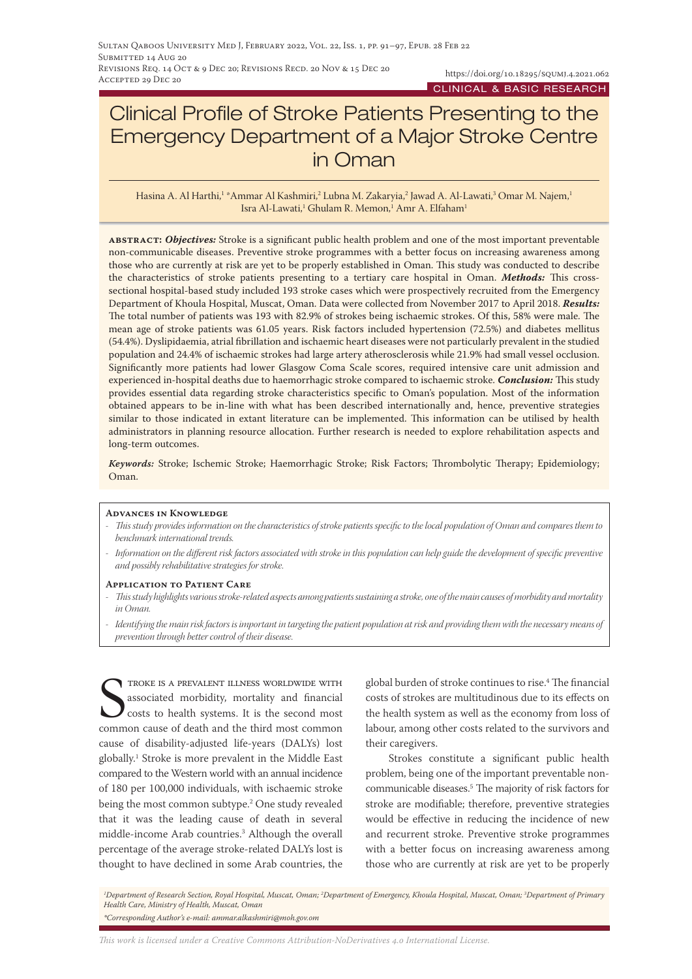# Clinical Profile of Stroke Patients Presenting to the Emergency Department of a Major Stroke Centre in Oman

Hasina A. Al Harthi,<sup>1</sup> \*Ammar Al Kashmiri,<sup>2</sup> Lubna M. Zakaryia,<sup>2</sup> Jawad A. Al-Lawati,<sup>3</sup> Omar M. Najem,<sup>1</sup> Isra Al-Lawati,<sup>1</sup> Ghulam R. Memon,<sup>1</sup> Amr A. Elfaham<sup>1</sup>

**abstract:** *Objectives:* Stroke is a significant public health problem and one of the most important preventable non-communicable diseases. Preventive stroke programmes with a better focus on increasing awareness among those who are currently at risk are yet to be properly established in Oman. This study was conducted to describe the characteristics of stroke patients presenting to a tertiary care hospital in Oman. *Methods:* This crosssectional hospital-based study included 193 stroke cases which were prospectively recruited from the Emergency Department of Khoula Hospital, Muscat, Oman. Data were collected from November 2017 to April 2018. *Results:* The total number of patients was 193 with 82.9% of strokes being ischaemic strokes. Of this, 58% were male. The mean age of stroke patients was 61.05 years. Risk factors included hypertension (72.5%) and diabetes mellitus (54.4%). Dyslipidaemia, atrial fibrillation and ischaemic heart diseases were not particularly prevalent in the studied population and 24.4% of ischaemic strokes had large artery atherosclerosis while 21.9% had small vessel occlusion. Significantly more patients had lower Glasgow Coma Scale scores, required intensive care unit admission and experienced in-hospital deaths due to haemorrhagic stroke compared to ischaemic stroke. *Conclusion:* This study provides essential data regarding stroke characteristics specific to Oman's population. Most of the information obtained appears to be in-line with what has been described internationally and, hence, preventive strategies similar to those indicated in extant literature can be implemented. This information can be utilised by health administrators in planning resource allocation. Further research is needed to explore rehabilitation aspects and long-term outcomes.

*Keywords:* Stroke; Ischemic Stroke; Haemorrhagic Stroke; Risk Factors; Thrombolytic Therapy; Epidemiology; Oman.

#### **Advances in Knowledge**

- *- This study provides information on the characteristics of stroke patients specific to the local population of Oman and compares them to benchmark international trends.*
- *- Information on the different risk factors associated with stroke in this population can help guide the development of specific preventive and possibly rehabilitative strategies for stroke.*

#### **Application to Patient Care**

- *- This study highlights various stroke-related aspects among patients sustaining a stroke, one of the main causes of morbidity and mortality in Oman.*
- *- Identifying the main risk factors is important in targeting the patient population at risk and providing them with the necessary means of prevention through better control of their disease.*

STROKE IS A PREVALENT ILLNESS WORLDWIDE WITH<br>associated morbidity, mortality and financial<br>costs to health systems. It is the second most<br>common cause of death and the third most common troke is a prevalent illness worldwide with associated morbidity, mortality and financial costs to health systems. It is the second most cause of disability-adjusted life-years (DALYs) lost globally.1 Stroke is more prevalent in the Middle East compared to the Western world with an annual incidence of 180 per 100,000 individuals, with ischaemic stroke being the most common subtype.2 One study revealed that it was the leading cause of death in several middle-income Arab countries.3 Although the overall percentage of the average stroke-related DALYs lost is thought to have declined in some Arab countries, the

global burden of stroke continues to rise.4 The financial costs of strokes are multitudinous due to its effects on the health system as well as the economy from loss of labour, among other costs related to the survivors and their caregivers.

Strokes constitute a significant public health problem, being one of the important preventable noncommunicable diseases.5 The majority of risk factors for stroke are modifiable; therefore, preventive strategies would be effective in reducing the incidence of new and recurrent stroke. Preventive stroke programmes with a better focus on increasing awareness among those who are currently at risk are yet to be properly

*1 Department of Research Section, Royal Hospital, Muscat, Oman; 2 Department of Emergency, Khoula Hospital, Muscat, Oman; 3 Department of Primary Health Care, Ministry of Health, Muscat, Oman \*Corresponding Author's e-mail: ammar.alkashmiri@moh.gov.om*

*This work is licensed under a [Creative Commons Attribution-NoDerivatives 4.0 International License.](https://creativecommons.org/licenses/by-nd/4.0/)*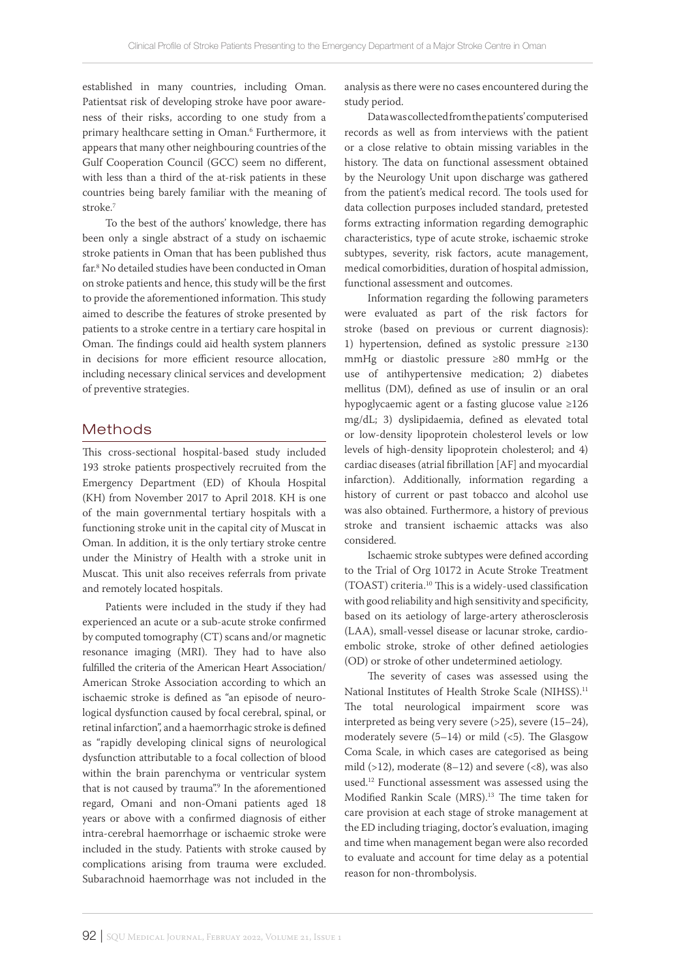established in many countries, including Oman. Patientsat risk of developing stroke have poor awareness of their risks, according to one study from a primary healthcare setting in Oman.6 Furthermore, it appears that many other neighbouring countries of the Gulf Cooperation Council (GCC) seem no different, with less than a third of the at-risk patients in these countries being barely familiar with the meaning of stroke.7

To the best of the authors' knowledge, there has been only a single abstract of a study on ischaemic stroke patients in Oman that has been published thus far.8 No detailed studies have been conducted in Oman on stroke patients and hence, this study will be the first to provide the aforementioned information. This study aimed to describe the features of stroke presented by patients to a stroke centre in a tertiary care hospital in Oman. The findings could aid health system planners in decisions for more efficient resource allocation, including necessary clinical services and development of preventive strategies.

# Methods

This cross-sectional hospital-based study included 193 stroke patients prospectively recruited from the Emergency Department (ED) of Khoula Hospital (KH) from November 2017 to April 2018. KH is one of the main governmental tertiary hospitals with a functioning stroke unit in the capital city of Muscat in Oman. In addition, it is the only tertiary stroke centre under the Ministry of Health with a stroke unit in Muscat. This unit also receives referrals from private and remotely located hospitals.

Patients were included in the study if they had experienced an acute or a sub-acute stroke confirmed by computed tomography (CT) scans and/or magnetic resonance imaging (MRI). They had to have also fulfilled the criteria of the American Heart Association/ American Stroke Association according to which an ischaemic stroke is defined as "an episode of neurological dysfunction caused by focal cerebral, spinal, or retinal infarction", and a haemorrhagic stroke is defined as "rapidly developing clinical signs of neurological dysfunction attributable to a focal collection of blood within the brain parenchyma or ventricular system that is not caused by trauma".<sup>9</sup> In the aforementioned regard, Omani and non-Omani patients aged 18 years or above with a confirmed diagnosis of either intra-cerebral haemorrhage or ischaemic stroke were included in the study. Patients with stroke caused by complications arising from trauma were excluded. Subarachnoid haemorrhage was not included in the

analysis as there were no cases encountered during the study period.

Data was collected from the patients' computerised records as well as from interviews with the patient or a close relative to obtain missing variables in the history. The data on functional assessment obtained by the Neurology Unit upon discharge was gathered from the patient's medical record. The tools used for data collection purposes included standard, pretested forms extracting information regarding demographic characteristics, type of acute stroke, ischaemic stroke subtypes, severity, risk factors, acute management, medical comorbidities, duration of hospital admission, functional assessment and outcomes.

Information regarding the following parameters were evaluated as part of the risk factors for stroke (based on previous or current diagnosis): 1) hypertension, defined as systolic pressure ≥130 mmHg or diastolic pressure ≥80 mmHg or the use of antihypertensive medication; 2) diabetes mellitus (DM), defined as use of insulin or an oral hypoglycaemic agent or a fasting glucose value ≥126 mg/dL; 3) dyslipidaemia, defined as elevated total or low-density lipoprotein cholesterol levels or low levels of high-density lipoprotein cholesterol; and 4) cardiac diseases (atrial fibrillation [AF] and myocardial infarction). Additionally, information regarding a history of current or past tobacco and alcohol use was also obtained. Furthermore, a history of previous stroke and transient ischaemic attacks was also considered.

Ischaemic stroke subtypes were defined according to the Trial of Org 10172 in Acute Stroke Treatment (TOAST) criteria.10 This is a widely-used classification with good reliability and high sensitivity and specificity, based on its aetiology of large-artery atherosclerosis (LAA), small-vessel disease or lacunar stroke, cardioembolic stroke, stroke of other defined aetiologies (OD) or stroke of other undetermined aetiology.

The severity of cases was assessed using the National Institutes of Health Stroke Scale (NIHSS).<sup>11</sup> The total neurological impairment score was interpreted as being very severe  $(>25)$ , severe  $(15–24)$ , moderately severe  $(5-14)$  or mild  $(*5*)$ . The Glasgow Coma Scale, in which cases are categorised as being mild  $(>12)$ , moderate  $(8-12)$  and severe  $( $8$ )$ , was also used.12 Functional assessment was assessed using the Modified Rankin Scale (MRS).13 The time taken for care provision at each stage of stroke management at the ED including triaging, doctor's evaluation, imaging and time when management began were also recorded to evaluate and account for time delay as a potential reason for non-thrombolysis.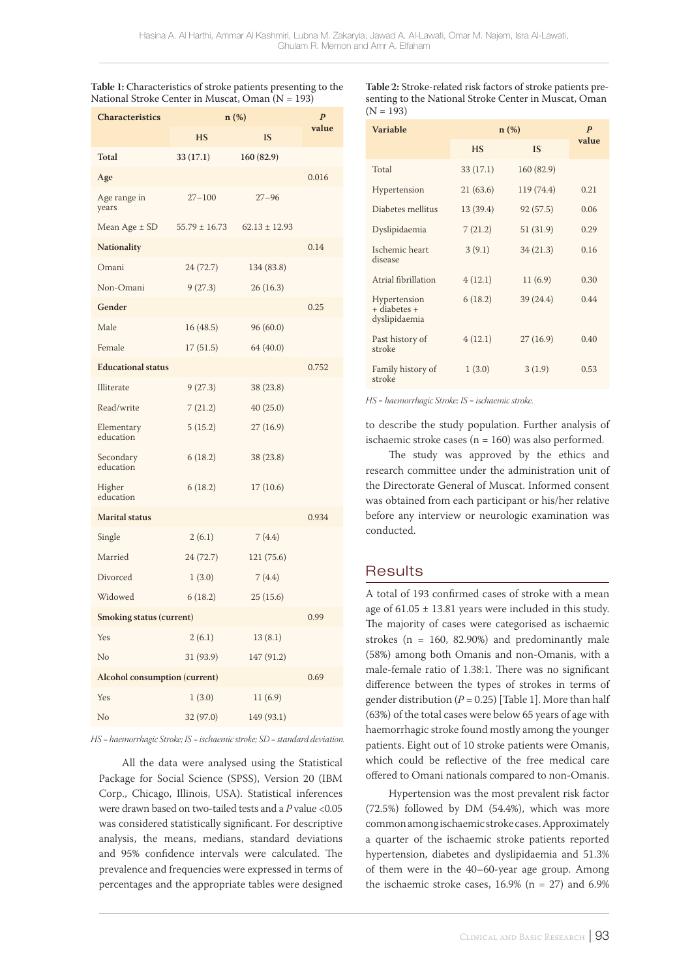| Table 1: Characteristics of stroke patients presenting to the |  |
|---------------------------------------------------------------|--|
| National Stroke Center in Muscat, Oman (N = 193)              |  |

| <b>Characteristics</b>          | n (%)             |                   | $\boldsymbol{P}$ |
|---------------------------------|-------------------|-------------------|------------------|
|                                 | <b>HS</b>         | IS                | value            |
| Total                           | 33(17.1)          | 160 (82.9)        |                  |
| Age                             |                   |                   | 0.016            |
| Age range in<br>years           | $27 - 100$        | $27 - 96$         |                  |
| Mean Age $\pm$ SD               | $55.79 \pm 16.73$ | $62.13 \pm 12.93$ |                  |
| <b>Nationality</b>              |                   |                   | 0.14             |
| Omani                           | 24 (72.7)         | 134 (83.8)        |                  |
| Non-Omani                       | 9(27.3)           | 26 (16.3)         |                  |
| Gender                          |                   |                   | 0.25             |
| Male                            | 16(48.5)          | 96 (60.0)         |                  |
| Female                          | 17(51.5)          | 64 (40.0)         |                  |
| <b>Educational status</b>       |                   |                   | 0.752            |
| Illiterate                      | 9(27.3)           | 38 (23.8)         |                  |
| Read/write                      | 7(21.2)           | 40(25.0)          |                  |
| Elementary<br>education         | 5(15.2)           | 27(16.9)          |                  |
| Secondary<br>education          | 6(18.2)           | 38 (23.8)         |                  |
| Higher<br>education             | 6(18.2)           | 17(10.6)          |                  |
| <b>Marital</b> status<br>0.934  |                   |                   |                  |
| Single                          | 2(6.1)            | 7(4.4)            |                  |
| Married                         | 24 (72.7)         | 121 (75.6)        |                  |
| Divorced                        | 1(3.0)            | 7(4.4)            |                  |
| Widowed                         | 6(18.2)           | 25(15.6)          |                  |
| <b>Smoking status (current)</b> |                   |                   | 0.99             |
| Yes                             | 2(6.1)            | 13(8.1)           |                  |
| No                              | 31 (93.9)         | 147 (91.2)        |                  |
| Alcohol consumption (current)   |                   |                   | 0.69             |
| Yes                             | 1(3.0)            | 11(6.9)           |                  |
| No                              | 32 (97.0)         | 149 (93.1)        |                  |

*HS = haemorrhagic Stroke; IS = ischaemic stroke; SD = standard deviation.*

All the data were analysed using the Statistical Package for Social Science (SPSS), Version 20 (IBM Corp., Chicago, Illinois, USA). Statistical inferences were drawn based on two-tailed tests and a *P* value <0.05 was considered statistically significant. For descriptive analysis, the means, medians, standard deviations and 95% confidence intervals were calculated. The prevalence and frequencies were expressed in terms of percentages and the appropriate tables were designed

**Table 2:** Stroke-related risk factors of stroke patients presenting to the National Stroke Center in Muscat, Oman  $(N = 193)$ 

| Variable                                      | $n(\%)$   |            | $\boldsymbol{P}$ |
|-----------------------------------------------|-----------|------------|------------------|
|                                               | <b>HS</b> | <b>IS</b>  | value            |
| Total                                         | 33(17.1)  | 160 (82.9) |                  |
| Hypertension                                  | 21(63.6)  | 119 (74.4) | 0.21             |
| Diabetes mellitus                             | 13 (39.4) | 92(57.5)   | 0.06             |
| Dyslipidaemia                                 | 7(21.2)   | 51 (31.9)  | 0.29             |
| Ischemic heart<br>disease                     | 3(9.1)    | 34(21.3)   | 0.16             |
| Atrial fibrillation                           | 4(12.1)   | 11(6.9)    | 0.30             |
| Hypertension<br>+ diabetes +<br>dyslipidaemia | 6(18.2)   | 39(24.4)   | 0.44             |
| Past history of<br>stroke                     | 4(12.1)   | 27(16.9)   | 0.40             |
| Family history of<br>stroke                   | 1(3.0)    | 3(1.9)     | 0.53             |

*HS = haemorrhagic Stroke; IS = ischaemic stroke.*

to describe the study population. Further analysis of ischaemic stroke cases ( $n = 160$ ) was also performed.

The study was approved by the ethics and research committee under the administration unit of the Directorate General of Muscat. Informed consent was obtained from each participant or his/her relative before any interview or neurologic examination was conducted.

# **Results**

A total of 193 confirmed cases of stroke with a mean age of  $61.05 \pm 13.81$  years were included in this study. The majority of cases were categorised as ischaemic strokes ( $n = 160, 82.90\%$ ) and predominantly male (58%) among both Omanis and non-Omanis, with a male-female ratio of 1.38:1. There was no significant difference between the types of strokes in terms of gender distribution (*P* = 0.25) [Table 1]. More than half (63%) of the total cases were below 65 years of age with haemorrhagic stroke found mostly among the younger patients. Eight out of 10 stroke patients were Omanis, which could be reflective of the free medical care offered to Omani nationals compared to non-Omanis.

Hypertension was the most prevalent risk factor (72.5%) followed by DM (54.4%), which was more common among ischaemic stroke cases. Approximately a quarter of the ischaemic stroke patients reported hypertension, diabetes and dyslipidaemia and 51.3% of them were in the 40–60-year age group. Among the ischaemic stroke cases,  $16.9\%$  (n = 27) and  $6.9\%$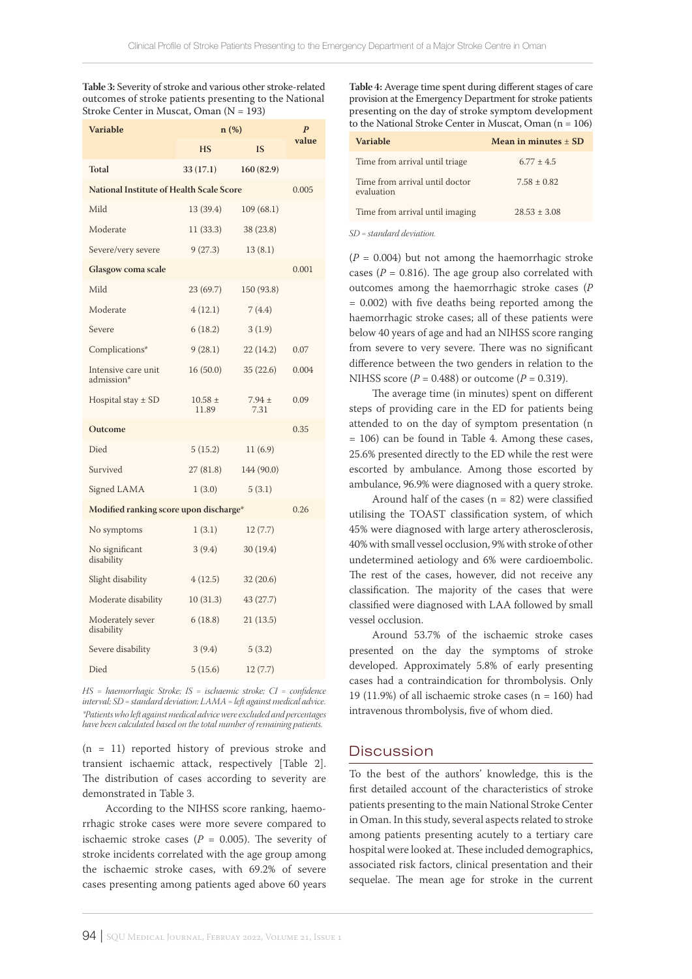**Table 3:** Severity of stroke and various other stroke-related outcomes of stroke patients presenting to the National Stroke Center in Muscat, Oman  $(N = 193)$ 

| Variable                                        | $n(\%)$              |                    | $\overline{P}$ |
|-------------------------------------------------|----------------------|--------------------|----------------|
|                                                 | HS                   | <b>IS</b>          | value          |
| <b>Total</b>                                    | 33(17.1)             | 160(82.9)          |                |
| <b>National Institute of Health Scale Score</b> |                      |                    | 0.005          |
| Mild                                            | 13 (39.4)            | 109 (68.1)         |                |
| Moderate                                        | 11(33.3)             | 38 (23.8)          |                |
| Severe/very severe                              | 9(27.3)              | 13(8.1)            |                |
| Glasgow coma scale                              |                      |                    | 0.001          |
| Mild                                            | 23 (69.7)            | 150 (93.8)         |                |
| Moderate                                        | 4(12.1)              | 7 (4.4)            |                |
| Severe                                          | 6(18.2)              | 3(1.9)             |                |
| Complications*                                  | 9(28.1)              | 22 (14.2)          | 0.07           |
| Intensive care unit<br>admission*               | 16(50.0)             | 35(22.6)           | 0.004          |
| Hospital stay $\pm$ SD                          | $10.58 \pm$<br>11.89 | $7.94 \pm$<br>7.31 | 0.09           |
| Outcome                                         |                      |                    | 0.35           |
| Died                                            | 5(15.2)              | 11(6.9)            |                |
| Survived                                        | 27(81.8)             | 144 (90.0)         |                |
| Signed LAMA                                     | 1(3.0)               | 5(3.1)             |                |
| Modified ranking score upon discharge*          |                      |                    | 0.26           |
| No symptoms                                     | 1(3.1)               | 12(7.7)            |                |
| No significant<br>disability                    | 3(9.4)               | 30(19.4)           |                |
| Slight disability                               | 4(12.5)              | 32 (20.6)          |                |
| Moderate disability                             | 10(31.3)             | 43 (27.7)          |                |
| Moderately sever<br>disability                  | 6(18.8)              | 21 (13.5)          |                |
| Severe disability                               | 3(9.4)               | 5(3.2)             |                |
| Died                                            | 5(15.6)              | 12 (7.7)           |                |

*HS = haemorrhagic Stroke; IS = ischaemic stroke; CI = confidence interval; SD = standard deviation; LAMA = left against medical advice. \*Patients who left against medical advice were excluded and percentages have been calculated based on the total number of remaining patients.*

(n = 11) reported history of previous stroke and transient ischaemic attack, respectively [Table 2]. The distribution of cases according to severity are demonstrated in Table 3.

According to the NIHSS score ranking, haemorrhagic stroke cases were more severe compared to ischaemic stroke cases ( $P = 0.005$ ). The severity of stroke incidents correlated with the age group among the ischaemic stroke cases, with 69.2% of severe cases presenting among patients aged above 60 years

**Table 4:** Average time spent during different stages of care provision at the Emergency Department for stroke patients presenting on the day of stroke symptom development to the National Stroke Center in Muscat, Oman (n = 106)

| Variable                                     | Mean in minutes $+$ SD |
|----------------------------------------------|------------------------|
| Time from arrival until triage               | $6.77 + 4.5$           |
| Time from arrival until doctor<br>evaluation | $7.58 + 0.82$          |
| Time from arrival until imaging              | $28.53 + 3.08$         |

*SD = standard deviation.*

 $(P = 0.004)$  but not among the haemorrhagic stroke cases ( $P = 0.816$ ). The age group also correlated with outcomes among the haemorrhagic stroke cases (*P* = 0.002) with five deaths being reported among the haemorrhagic stroke cases; all of these patients were below 40 years of age and had an NIHSS score ranging from severe to very severe. There was no significant difference between the two genders in relation to the NIHSS score ( $P = 0.488$ ) or outcome ( $P = 0.319$ ).

The average time (in minutes) spent on different steps of providing care in the ED for patients being attended to on the day of symptom presentation (n = 106) can be found in Table 4. Among these cases, 25.6% presented directly to the ED while the rest were escorted by ambulance. Among those escorted by ambulance, 96.9% were diagnosed with a query stroke.

Around half of the cases ( $n = 82$ ) were classified utilising the TOAST classification system, of which 45% were diagnosed with large artery atherosclerosis, 40% with small vessel occlusion, 9% with stroke of other undetermined aetiology and 6% were cardioembolic. The rest of the cases, however, did not receive any classification. The majority of the cases that were classified were diagnosed with LAA followed by small vessel occlusion.

Around 53.7% of the ischaemic stroke cases presented on the day the symptoms of stroke developed. Approximately 5.8% of early presenting cases had a contraindication for thrombolysis. Only 19 (11.9%) of all ischaemic stroke cases ( $n = 160$ ) had intravenous thrombolysis, five of whom died.

### Discussion

To the best of the authors' knowledge, this is the first detailed account of the characteristics of stroke patients presenting to the main National Stroke Center in Oman. In this study, several aspects related to stroke among patients presenting acutely to a tertiary care hospital were looked at. These included demographics, associated risk factors, clinical presentation and their sequelae. The mean age for stroke in the current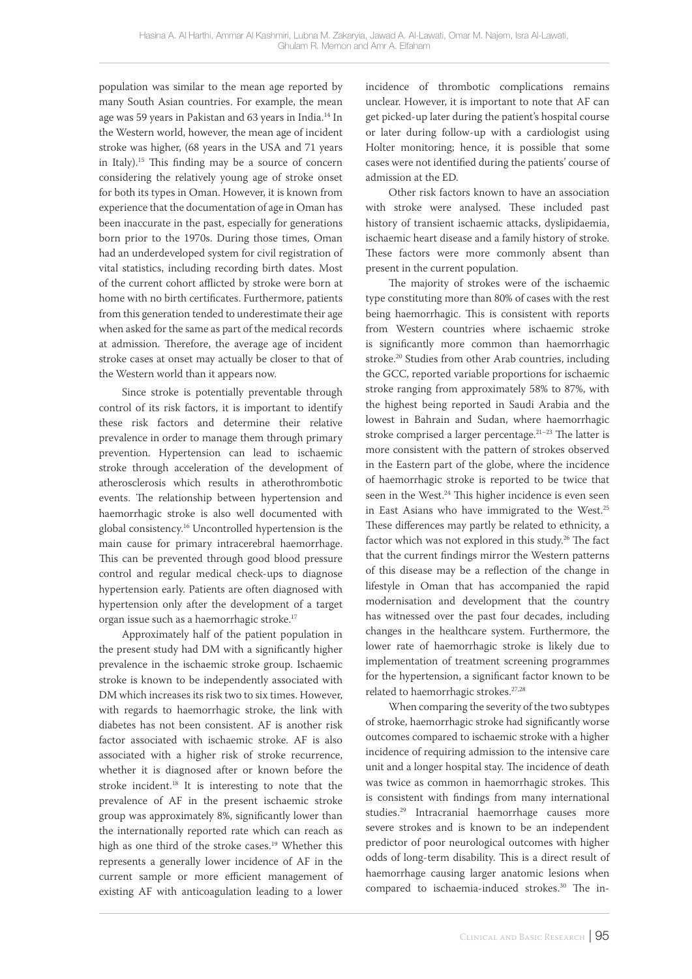population was similar to the mean age reported by many South Asian countries. For example, the mean age was 59 years in Pakistan and 63 years in India.14 In the Western world, however, the mean age of incident stroke was higher, (68 years in the USA and 71 years in Italy).15 This finding may be a source of concern considering the relatively young age of stroke onset for both its types in Oman. However, it is known from experience that the documentation of age in Oman has been inaccurate in the past, especially for generations born prior to the 1970s. During those times, Oman had an underdeveloped system for civil registration of vital statistics, including recording birth dates. Most of the current cohort afflicted by stroke were born at home with no birth certificates. Furthermore, patients from this generation tended to underestimate their age when asked for the same as part of the medical records at admission. Therefore, the average age of incident stroke cases at onset may actually be closer to that of the Western world than it appears now.

Since stroke is potentially preventable through control of its risk factors, it is important to identify these risk factors and determine their relative prevalence in order to manage them through primary prevention. Hypertension can lead to ischaemic stroke through acceleration of the development of atherosclerosis which results in atherothrombotic events. The relationship between hypertension and haemorrhagic stroke is also well documented with global consistency.16 Uncontrolled hypertension is the main cause for primary intracerebral haemorrhage. This can be prevented through good blood pressure control and regular medical check-ups to diagnose hypertension early. Patients are often diagnosed with hypertension only after the development of a target organ issue such as a haemorrhagic stroke.17

Approximately half of the patient population in the present study had DM with a significantly higher prevalence in the ischaemic stroke group. Ischaemic stroke is known to be independently associated with DM which increases its risk two to six times. However, with regards to haemorrhagic stroke, the link with diabetes has not been consistent. AF is another risk factor associated with ischaemic stroke. AF is also associated with a higher risk of stroke recurrence, whether it is diagnosed after or known before the stroke incident.18 It is interesting to note that the prevalence of AF in the present ischaemic stroke group was approximately 8%, significantly lower than the internationally reported rate which can reach as high as one third of the stroke cases.<sup>19</sup> Whether this represents a generally lower incidence of AF in the current sample or more efficient management of existing AF with anticoagulation leading to a lower incidence of thrombotic complications remains unclear. However, it is important to note that AF can get picked-up later during the patient's hospital course or later during follow-up with a cardiologist using Holter monitoring; hence, it is possible that some cases were not identified during the patients' course of admission at the ED.

Other risk factors known to have an association with stroke were analysed. These included past history of transient ischaemic attacks, dyslipidaemia, ischaemic heart disease and a family history of stroke. These factors were more commonly absent than present in the current population.

The majority of strokes were of the ischaemic type constituting more than 80% of cases with the rest being haemorrhagic. This is consistent with reports from Western countries where ischaemic stroke is significantly more common than haemorrhagic stroke.20 Studies from other Arab countries, including the GCC, reported variable proportions for ischaemic stroke ranging from approximately 58% to 87%, with the highest being reported in Saudi Arabia and the lowest in Bahrain and Sudan, where haemorrhagic stroke comprised a larger percentage.21–23 The latter is more consistent with the pattern of strokes observed in the Eastern part of the globe, where the incidence of haemorrhagic stroke is reported to be twice that seen in the West.<sup>24</sup> This higher incidence is even seen in East Asians who have immigrated to the West.25 These differences may partly be related to ethnicity, a factor which was not explored in this study.<sup>26</sup> The fact that the current findings mirror the Western patterns of this disease may be a reflection of the change in lifestyle in Oman that has accompanied the rapid modernisation and development that the country has witnessed over the past four decades, including changes in the healthcare system. Furthermore, the lower rate of haemorrhagic stroke is likely due to implementation of treatment screening programmes for the hypertension, a significant factor known to be related to haemorrhagic strokes.27,28

When comparing the severity of the two subtypes of stroke, haemorrhagic stroke had significantly worse outcomes compared to ischaemic stroke with a higher incidence of requiring admission to the intensive care unit and a longer hospital stay. The incidence of death was twice as common in haemorrhagic strokes. This is consistent with findings from many international studies.29 Intracranial haemorrhage causes more severe strokes and is known to be an independent predictor of poor neurological outcomes with higher odds of long-term disability. This is a direct result of haemorrhage causing larger anatomic lesions when compared to ischaemia-induced strokes.<sup>30</sup> The in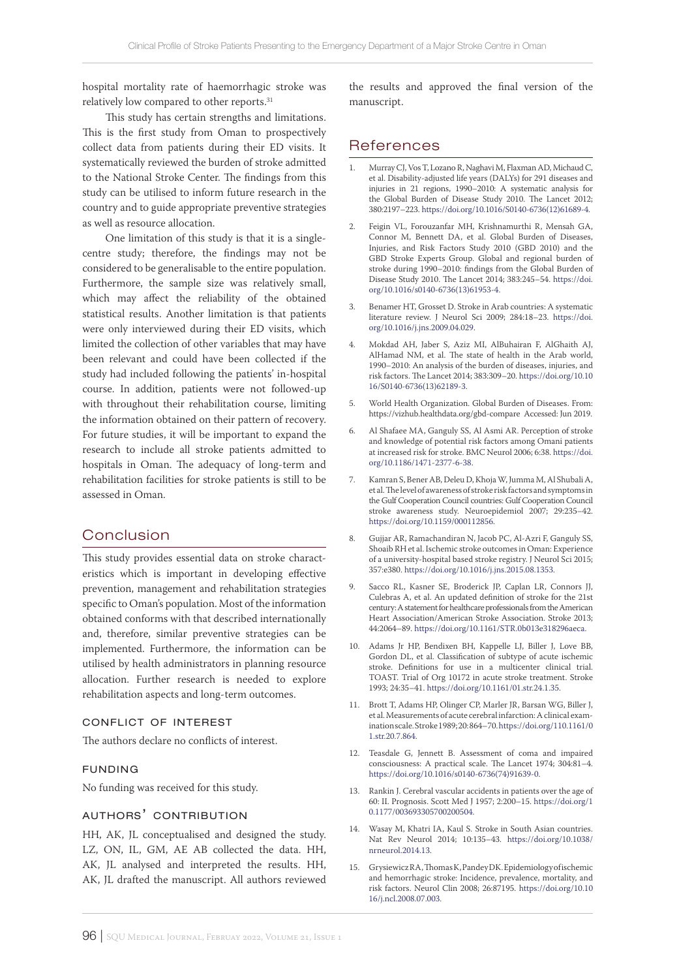hospital mortality rate of haemorrhagic stroke was relatively low compared to other reports.<sup>31</sup>

This study has certain strengths and limitations. This is the first study from Oman to prospectively collect data from patients during their ED visits. It systematically reviewed the burden of stroke admitted to the National Stroke Center. The findings from this study can be utilised to inform future research in the country and to guide appropriate preventive strategies as well as resource allocation.

One limitation of this study is that it is a singlecentre study; therefore, the findings may not be considered to be generalisable to the entire population. Furthermore, the sample size was relatively small, which may affect the reliability of the obtained statistical results. Another limitation is that patients were only interviewed during their ED visits, which limited the collection of other variables that may have been relevant and could have been collected if the study had included following the patients' in-hospital course. In addition, patients were not followed-up with throughout their rehabilitation course, limiting the information obtained on their pattern of recovery. For future studies, it will be important to expand the research to include all stroke patients admitted to hospitals in Oman. The adequacy of long-term and rehabilitation facilities for stroke patients is still to be assessed in Oman.

# Conclusion

This study provides essential data on stroke characteristics which is important in developing effective prevention, management and rehabilitation strategies specific to Oman's population. Most of the information obtained conforms with that described internationally and, therefore, similar preventive strategies can be implemented. Furthermore, the information can be utilised by health administrators in planning resource allocation. Further research is needed to explore rehabilitation aspects and long-term outcomes.

#### conflict of interest

The authors declare no conflicts of interest.

#### funding

No funding was received for this study.

# authors' contribution

HH, AK, JL conceptualised and designed the study. LZ, ON, IL, GM, AE AB collected the data. HH, AK, JL analysed and interpreted the results. HH, AK, JL drafted the manuscript. All authors reviewed the results and approved the final version of the manuscript.

## References

- 1. Murray CJ, Vos T, Lozano R, Naghavi M, Flaxman AD, Michaud C, et al. Disability-adjusted life years (DALYs) for 291 diseases and injuries in 21 regions, 1990–2010: A systematic analysis for the Global Burden of Disease Study 2010. The Lancet 2012; 380:2197–223. [https://doi.org/10.1016/S0140-6736\(12\)61689-4](https://doi.org/10.1016/S0140-6736(12)61689-4).
- 2. Feigin VL, Forouzanfar MH, Krishnamurthi R, Mensah GA, Connor M, Bennett DA, et al. Global Burden of Diseases, Injuries, and Risk Factors Study 2010 (GBD 2010) and the GBD Stroke Experts Group. Global and regional burden of stroke during 1990–2010: findings from the Global Burden of Disease Study 2010. The Lancet 2014; 383:245–54. [https://doi.](https://doi.org/10.1016/s0140-6736(13)61953-4) [org/10.1016/s0140-6736\(13\)61953-4](https://doi.org/10.1016/s0140-6736(13)61953-4).
- 3. Benamer HT, Grosset D. Stroke in Arab countries: A systematic literature review. J Neurol Sci 2009; 284:18–23. [https://doi.](https://doi.org/10.1016/j.jns.2009.04.029) [org/10.1016/j.jns.2009.04.029](https://doi.org/10.1016/j.jns.2009.04.029).
- 4. Mokdad AH, Jaber S, Aziz MI, AlBuhairan F, AlGhaith AJ, AlHamad NM, et al. The state of health in the Arab world, 1990–2010: An analysis of the burden of diseases, injuries, and risk factors. The Lancet 2014; 383:309–20. [https://doi.org/10.10](https://doi.org/10.1016/S0140-6736(13)62189-3) [16/S0140-6736\(13\)62189-3.](https://doi.org/10.1016/S0140-6736(13)62189-3)
- 5. World Health Organization. Global Burden of Diseases. From: https://vizhub.healthdata.org/gbd-compare Accessed: Jun 2019.
- 6. Al Shafaee MA, Ganguly SS, Al Asmi AR. Perception of stroke and knowledge of potential risk factors among Omani patients at increased risk for stroke. BMC Neurol 2006; 6:38. [https://doi.](https://doi.org/10.1186/1471-2377-6-38) [org/10.1186/1471-2377-6-38.](https://doi.org/10.1186/1471-2377-6-38)
- 7. Kamran S, Bener AB, Deleu D, Khoja W, Jumma M, Al Shubali A, et al. The level of awareness of stroke risk factors and symptoms in the Gulf Cooperation Council countries: Gulf Cooperation Council stroke awareness study. Neuroepidemiol 2007; 29:235–42. <https://doi.org/10.1159/000112856>.
- 8. Gujjar AR, Ramachandiran N, Jacob PC, Al-Azri F, Ganguly SS, Shoaib RH et al. Ischemic stroke outcomes in Oman: Experience of a university-hospital based stroke registry. J Neurol Sci 2015; 357:e380.<https://doi.org/10.1016/j.jns.2015.08.1353>.
- 9. Sacco RL, Kasner SE, Broderick JP, Caplan LR, Connors JJ, Culebras A, et al. An updated definition of stroke for the 21st century: A statement for healthcare professionals from the American Heart Association/American Stroke Association. Stroke 2013; 44:2064–89. <https://doi.org/10.1161/STR.0b013e318296aeca>.
- 10. Adams Jr HP, Bendixen BH, Kappelle LJ, Biller J, Love BB, Gordon DL, et al. Classification of subtype of acute ischemic stroke. Definitions for use in a multicenter clinical trial. TOAST. Trial of Org 10172 in acute stroke treatment. Stroke 1993; 24:35–41.<https://doi.org/10.1161/01.str.24.1.35>.
- 11. Brott T, Adams HP, Olinger CP, Marler JR, Barsan WG, Biller J, et al. Measurements of acute cerebral infarction: A clinical examination scale. Stroke 1989; 20: 864–70. [https://doi.org/110.1161/0](https://doi.org/110.1161/01.str.20.7.864) [1.str.20.7.864](https://doi.org/110.1161/01.str.20.7.864).
- 12. Teasdale G, Jennett B. Assessment of coma and impaired consciousness: A practical scale. The Lancet 1974; 304:81–4. [https://doi.org/10.1016/s0140-6736\(74\)91639-0](https://doi.org/10.1016/s0140-6736(74)91639-0).
- 13. Rankin J. Cerebral vascular accidents in patients over the age of 60: II. Prognosis. Scott Med J 1957; 2:200–15. [https://doi.org/1](https://doi.org/10.1177/003693305700200504) [0.1177/003693305700200504.](https://doi.org/10.1177/003693305700200504)
- 14. Wasay M, Khatri IA, Kaul S. Stroke in South Asian countries. Nat Rev Neurol 2014; 10:135–43. [https://doi.org/10.1038/](https://doi.org/10.1038/nrneurol.2014.13) [nrneurol.2014.13.](https://doi.org/10.1038/nrneurol.2014.13)
- 15. Grysiewicz RA, Thomas K, Pandey DK. Epidemiology of ischemic and hemorrhagic stroke: Incidence, prevalence, mortality, and risk factors. Neurol Clin 2008; 26:87195. [https://doi.org/10.10](http://v) [16/j.ncl.2008.07.003.](http://v)